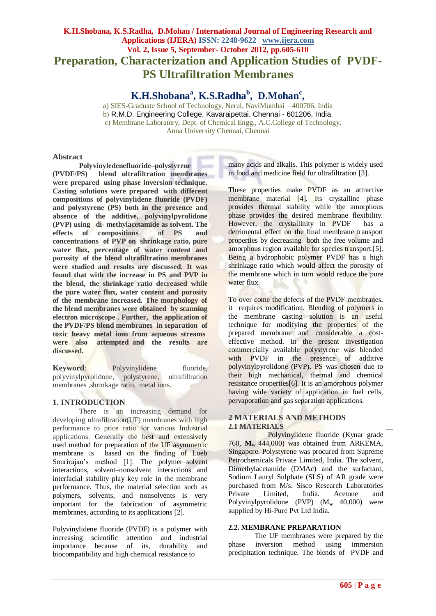# **K.H.Shobana, K.S.Radha, D.Mohan / International Journal of Engineering Research and Applications (IJERA) ISSN: 2248-9622 www.ijera.com Vol. 2, Issue 5, September- October 2012, pp.605-610 Preparation, Characterization and Application Studies of PVDF-PS Ultrafiltration Membranes**

**K.H.Shobana<sup>a</sup> , K.S.Radha<sup>b</sup> , D.Mohan<sup>c</sup> ,**

a) SIES-Graduate School of Technology, Nerul, NaviMumbai – 400706, India b) R.M.D. Engineering College, Kavaraipettai, Chennai - 601206, India. c) Membrane Laboratory, Dept. of Chemical Engg., A.C.College of Technology, Anna University Chennai, Chennai

# **Abstract**

**Polyvinyledenefluoride–polystyrene (PVDF/PS) blend ultrafiltration membranes were prepared using phase inversion technique. Casting solutions were prepared with different compositions of polyvinylidene fluoride (PVDF) and polystyrene (PS) both in the presence and absence of the additive, polyvinylpyrolidone (PVP) using di- methylacetamide as solvent. The effects of compositions of PS and concentrations of PVP on shrinkage ratio, pure water flux, percentage of water content and porosity of the blend ultrafiltration membranes were studied and results are discussed. It was found that with the increase in PS and PVP in the blend, the shrinkage ratio decreased while the pure water flux, water content and porosity of the membrane increased. The morphology of the blend membranes were obtained by scanning electron microscope . Further, the application of the PVDF/PS blend membranes in separation of toxic heavy metal ions from aqueous streams were also attempted and the results are discussed.**

Keyword: Polyvinylidene fluoride, polyvinylpyrolidone, polystyrene, ultrafiltration membranes ,shrinkage ratio, metal ions.

# **1. INTRODUCTION**

There is an increasing demand for developing ultrafiltration(UF) membranes with high performance to price ratio for various Industrial applications. Generally the best and extensively used method for preparation of the UF asymmetric membrane is based on the finding of Loeb Sourirajan's method [1]. The polymer–solvent interactions, solvent–nonsolvent interactions and interfacial stability play key role in the membrane performance. Thus, the material selection such as polymers, solvents, and nonsolvents is very important for the fabrication of asymmetric membranes, according to its applications [2].

Polyvinylidene fluoride (PVDF) is a polymer with increasing scientific attention and industrial importance because of its, durability and biocompatibility and high chemical resistance to

many acids and alkalis. This polymer is widely used in food and medicine field for ultrafiltration [3].

These properties make PVDF as an attractive membrane material [4]. Its crystalline phase provides thermal stability while the amorphous phase provides the desired membrane flexibility. However, the crystallinity in PVDF has a detrimental effect on the final membrane transport properties by decreasing both the free volume and amorphous region available for species transport.[5]. Being a hydrophobic polymer PVDF has a high shrinkage ratio which would affect the porosity of the membrane which in turn would reduce the pure water flux.

To over come the defects of the PVDF membranes, it requires modification. Blending of polymers in the membrane casting solution is an useful technique for modifying the properties of the prepared membrane and considerable a costeffective method. In the present investigation commercially available polystyrene was blended with PVDF in the presence of additive polyvinylpyrolidone (PVP). PS was chosen due to their high mechanical, thermal and chemical resistance properties[6]. It is an amorphous polymer having wide variety of application in fuel cells, pervaporation and gas separation applications.

# **2 MATERIALS AND METHODS 2.1 MATERIALS**

Polyvinylidene fluoride (Kynar grade 760, **M<sup>w</sup>** 444,000) was obtained from ARKEMA, Singapore. Polystyrene was procured from Supreme Petrochemicals Private Limited, India. The solvent, Dimethylacetamide (DMAc) and the surfactant, Sodium Lauryl Sulphate (SLS) of AR grade were purchased from M/s. Sisco Research Laboratories Private Limited, India. Acetone and Polyvinylpyrolidone (PVP) (M**<sup>w</sup>** 40,000) were supplied by Hi-Pure Pvt Ltd India.

#### **2.2. MEMBRANE PREPARATION**

The UF membranes were prepared by the phase inversion method using immersion precipitation technique. The blends of PVDF and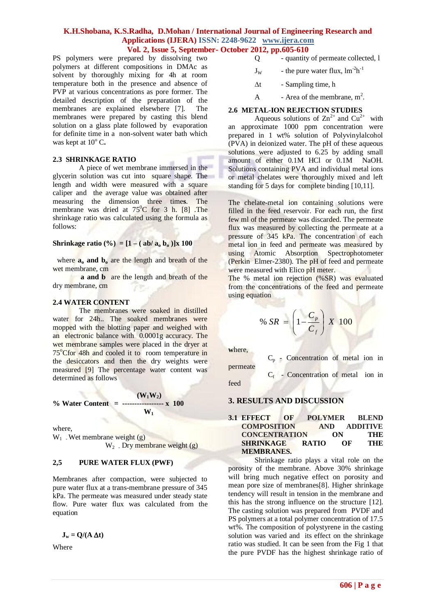PS polymers were prepared by dissolving two polymers at different compositions in DMAc as solvent by thoroughly mixing for 4h at room temperature both in the presence and absence of PVP at various concentrations as pore former. The detailed description of the preparation of the membranes are explained elsewhere [7]. The membranes were prepared by casting this blend solution on a glass plate followed by evaporation for definite time in a non-solvent water bath which was kept at  $10^{\circ}$  C.

# **2.3 SHRINKAGE RATIO**

A piece of wet membrane immersed in the glycerin solution was cut into square shape. The length and width were measured with a square caliper and the average value was obtained after measuring the dimension three time**s**. The membrane was dried at  $75^{\circ}$ C for 3 h. [8] The shrinkage ratio was calculated using the formula as follows:

# **Shrinkage ratio** (%) =  $[1 - (ab/a_0 b_0)]x 100$

where  $\mathbf{a}_0$  **and**  $\mathbf{b}_0$  are the length and breath of the wet membrane, cm

**a and b** are the length and breath of the dry membrane, cm

# **2.4 WATER CONTENT**

The membranes were soaked in distilled water for 24h.. The soaked membranes were mopped with the blotting paper and weighed with an electronic balance with 0.0001g accuracy. The wet membrane samples were placed in the dryer at 75<sup>o</sup>Cfor 48h and cooled it to room temperature in the desiccators and then the dry weights were measured [9] The percentage water content was determined as follows

% Water Content = 
$$
\frac{(W_1 W_2)}{W_1}
$$
 100

where,

 $W_1$ . Wet membrane weight (g)  $W_2$ . Dry membrane weight (g)

# **2,5 PURE WATER FLUX (PWF)**

Membranes after compaction, were subjected to pure water flux at a trans-membrane pressure of 345 kPa. The permeate was measured under steady state flow. Pure water flux was calculated from the equation

$$
\mathbf{J}_w = \mathbf{Q}/(\mathbf{A} \, \Delta t)
$$

Where

- Q quantity of permeate collected, l
- $J_W$  the pure water flux,  $\text{Im}^2 h^{-1}$
- $\Delta t$  Sampling time, h
- A Area of the membrane,  $m^2$ .

# **2.6 METAL-ION REJECTION STUDIES**

Aqueous solutions of  $\text{Zn}^{2+}$  and  $\text{Cu}^{2+}$  with an approximate 1000 ppm concentration were prepared in 1 wt% solution of Polyvinylalcohol (PVA) in deionized water. The pH of these aqueous solutions were adjusted to  $6.25$  by adding small amount of either 0.1M HCl or 0.1M NaOH. Solutions containing PVA and individual metal ions or metal chelates were thoroughly mixed and left standing for 5 days for complete binding [10,11].

The chelate-metal ion containing solutions were filled in the feed reservoir. For each run, the first few ml of the permeate was discarded. The permeate flux was measured by collecting the permeate at a pressure of 345 kPa. The concentration of each metal ion in feed and permeate was measured by using Atomic Absorption Spectrophotometer (Perkin Elmer-2380). The pH of feed and permeate were measured with Elico pH meter.

The % metal ion rejection (%SR) was evaluated from the concentrations of the feed and permeate using equation

$$
\% SR = \left(1 - \frac{C_p}{C_f}\right) X \quad 100
$$

**w**here,

 $C_p$  - Concentration of metal ion in permeate

 $C_f$  - Concentration of metal ion in feed

#### **3. RESULTS AND DISCUSSION**

#### **3.1 EFFECT OF POLYMER BLEND COMPOSITION AND ADDITIVE CONCENTRATION ON THE SHRINKAGE RATIO OF THE MEMBRANES.**

Shrinkage ratio plays a vital role on the porosity of the membrane. Above 30% shrinkage will bring much negative effect on porosity and mean pore size of membranes[8]. Higher shrinkage tendency will result in tension in the membrane and this has the strong influence on the structure [12]. The casting solution was prepared from PVDF and PS polymers at a total polymer concentration of 17.5 wt%. The composition of polystyrene in the casting solution was varied and its effect on the shrinkage ratio was studied. It can be seen from the Fig 1 that the pure PVDF has the highest shrinkage ratio of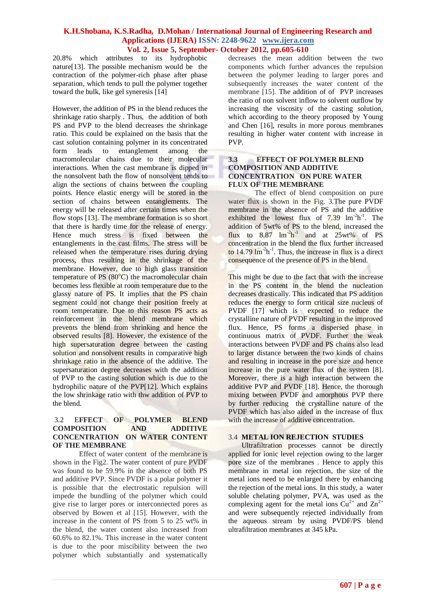20.8% which attributes to its hydrophobic nature[13]. The possible mechanism would be the contraction of the polymer-rich phase after phase separation, which tends to pull the polymer together toward the bulk, like gel syneresis [14]

However, the addition of PS in the blend reduces the shrinkage ratio sharply . Thus, the addition of both PS and PVP to the blend decreases the shrinkage ratio. This could be explained on the basis that the cast solution containing polymer in its concentrated form leads to entanglement among the macromolecular chains due to their molecular interactions. When the cast membrane is dipped in the nonsolvent bath the flow of nonsolvent tends to align the sections of chains between the coupling points. Hence elastic energy will be stored in the section of chains between entanglements. The energy will be released after certain times when the flow stops [13]. The membrane formation is so short that there is hardly time for the release of energy. Hence much stress is fixed between the entanglements in the cast films. The stress will be released when the temperature rises during drying process, thus resulting in the shrinkage of the membrane. However, due to high glass transition temperature of PS  $(80^{\circ}C)$  the macromolecular chain becomes less flexible at room temperature due to the glassy nature of PS. It implies that the PS chain segment could not change their position freely at room temperature. Due to this reason PS acts as reinforcement in the blend membrane which prevents the blend from shrinking and hence the observed results [8]. However, the existence of the high supersaturation degree between the casting solution and nonsolvent results in comparative high shrinkage ratio in the absence of the additive. The supersaturation degree decreases with the addition of PVP to the casting solution which is due to the hydrophilic nature of the PVP[12]. Which explains the low shrinkage ratio with thw addition of PVP to the blend.

# 3.2 E**FFECT OF POLYMER BLEND COMPOSITION AND ADDITIVE CONCENTRATION ON WATER CONTENT OF THE MEMBRANE**

Effect of water content of the membrane is shown in the Fig2. The water content of pure PVDF was found to be 59.9% in the absence of both PS and additive PVP. Since PVDF is a polar polymer it is possible that the electrostatic repulsion will impede the bundling of the polymer which could give rise to larger pores or interconnected pores as observed by Bowen et al [15]. However, with the increase in the content of PS from 5 to 25 wt% in the blend, the water content also increased from 60.6% to 82.1%. This increase in the water content is due to the poor miscibility between the two polymer which substantially and systematically

decreases the mean addition between the two components which further advances the repulsion between the polymer leading to larger pores and subsequently increases the water content of the membrane [15]. The addition of of PVP increases the ratio of non solvent inflow to solvent outflow by increasing the viscosity of the casting solution, which according to the theory proposed by Young and Chen [16], results in more porous membranes resulting in higher water content with increase in PVP.

#### **3.3 EFFECT OF POLYMER BLEND COMPOSITION AND ADDITIVE CONCENTRATION ON PURE WATER FLUX OF THE MEMBRANE**

The effect of blend composition on pure water flux is shown in the Fig. 3.The pure PVDF membrane in the absence of PS and the additive exhibited the lowest flux of  $7.39 \text{ lm}^{-2}h^{-1}$ . The addition of 5wt% of PS to the blend, increased the flux to  $8.87 \text{ lm}^{-2} \text{h}^{-1}$  and at  $25 \text{wt} \%$  of PS concentration in the blend the flux further increased to  $14.79 \text{ lm}^{-2}$ h<sup>-1</sup>. Thus, the increase in flux is a direct consequence of the presence of PS in the blend.

This might be due to the fact that with the increase in the PS content in the blend the nucleation decreases drastically. This indicated that PS addition reduces the energy to form critical size nucleus of PVDF [17] which is expected to reduce the crystalline nature of PVDF resulting in the improved flux. Hence, PS forms a dispersed phase in continuous matrix of PVDF. Further the weak interactions between PVDF and PS chains also lead to larger distance between the two kinds of chains and resulting in increase in the pore size and hence increase in the pure water flux of the system [8]. Moreover, there is a high interaction between the additive PVP and PVDF [18]. Hence, the thorough mixing between PVDF and amorphous PVP there by further reducing the crystalline nature of the PVDF which has also aided in the increase of flux with the increase of additive concentration.

#### 3.4 **METAL ION REJECTION STUDIES**

Ultrafiltration processes cannot be directly applied for ionic level rejection owing to the larger pore size of the membranes . Hence to apply this membrane in metal ion rejection, the size of the metal ions need to be enlarged there by enhancing the rejection of the metal ions. In this study, a water soluble chelating polymer, PVA, was used as the complexing agent for the metal ions  $Cu^{2+}$  and  $Zn^{2+}$ and were subsequently rejected individually from the aqueous stream by using PVDF/PS blend ultrafiltration membranes at 345 kPa.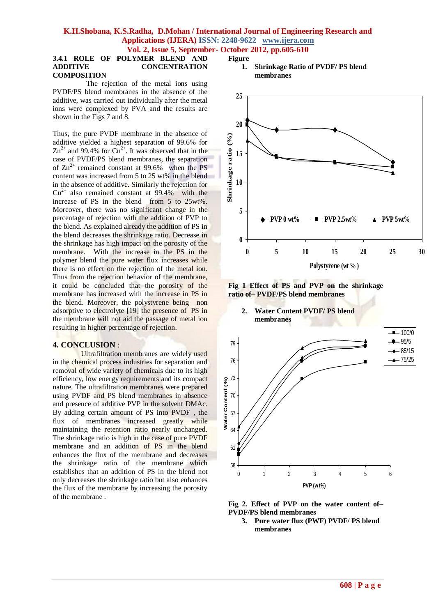**Figure** 

# **3.4.1 ROLE OF POLYMER BLEND AND ADDITIVE CONCENTRATION**

# **COMPOSITION**

The rejection of the metal ions using PVDF/PS blend membranes in the absence of the additive, was carried out individually after the metal ions were complexed by PVA and the results are shown in the Figs 7 and 8.

Thus, the pure PVDF membrane in the absence of additive yielded a highest separation of 99.6% for  $\text{Zn}^{2+}$  and 99.4% for  $\text{Cu}^{2+}$ . It was observed that in the case of PVDF/PS blend membranes, the separation of  $\text{Zn}^{2+}$  remained constant at 99.6% when the PS content was increased from 5 to 25 wt% in the blend in the absence of additive. Similarly the rejection for  $Cu<sup>2+</sup>$  also remained constant at 99.4% with the increase of PS in the blend from 5 to 25wt%. Moreover, there was no significant change in the percentage of rejection with the addition of PVP to the blend. As explained already the addition of PS in the blend decreases the shrinkage ratio. Decrease in the shrinkage has high impact on the porosity of the membrane. With the increase in the PS in the polymer blend the pure water flux increases while there is no effect on the rejection of the metal ion. Thus from the rejection behavior of the membrane. it could be concluded that the porosity of the membrane has increased with the increase in PS in the blend. Moreover, the polystyrene being non adsorptive to electrolyte [19] the presence of PS in the membrane will not aid the passage of metal ion resulting in higher percentage of rejection.

# **4. CONCLUSION** :

Ultrafiltration membranes are widely used in the chemical process industries for separation and removal of wide variety of chemicals due to its high efficiency, low energy requirements and its compact nature. The ultrafiltration membranes were prepared using PVDF and PS blend membranes in absence and presence of additive PVP in the solvent DMAc. By adding certain amount of PS into PVDF , the flux of membranes increased greatly while maintaining the retention ratio nearly unchanged. The shrinkage ratio is high in the case of pure PVDF membrane and an addition of PS in the blend enhances the flux of the membrane and decreases the shrinkage ratio of the membrane which establishes that an addition of PS in the blend not only decreases the shrinkage ratio but also enhances the flux of the membrane by increasing the porosity of the membrane .









**Fig 2. Effect of PVP on the water content of– PVDF/PS blend membranes**

**3. Pure water flux (PWF) PVDF/ PS blend membranes**

**2. Water Content PVDF/ PS blend membranes**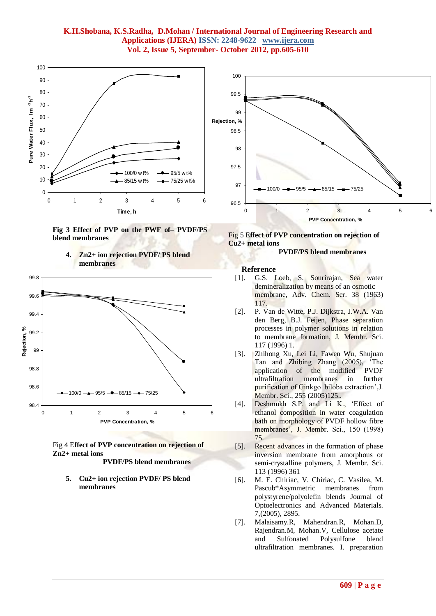





**4. Zn2+ ion rejection PVDF/ PS blend membranes**



 **PVDF/PS blend membranes**

**5. Cu2+ ion rejection PVDF/ PS blend membranes**





#### **PVDF/PS blend membranes**

#### **Reference**

- [1]. G.S. Loeb, S. Sourirajan, Sea water demineralization by means of an osmotic membrane, Adv. Chem. Ser. 38 (1963) 117.
- [2]. P. Van de Witte, P.J. Dijkstra, J.W.A. Van den Berg, B.J. Feijen, Phase separation processes in polymer solutions in relation to membrane formation, J. Membr. Sci. 117 (1996) 1.
- [3]. Zhihong Xu, Lei Li, Fawen Wu, Shujuan Tan and Zhibing Zhang (2005), 'The application of the modified PVDF ultrafiltration membranes in further purification of Ginkgo biloba extraction',J. Membr. Sci., 255 (2005)125..
- [4]. Deshmukh S.P. and Li K., 'Effect of ethanol composition in water coagulation bath on morphology of PVDF hollow fibre membranes', J. Membr. Sci., 150 (1998) 75.
- [5]. Recent advances in the formation of phase inversion membrane from amorphous or semi-crystalline polymers, J. Membr. Sci. 113 (1996) 361
- [6]. M. E. Chiriac, V. Chiriac, C. Vasilea, M. Pascub\*Asymmetric membranes from polystyrene/polyolefin blends Journal of Optoelectronics and Advanced Materials. 7,(2005), 2895.
- [7]. Malaisamy.R, Mahendran.R, Mohan.D, Rajendran.M, Mohan.V, Cellulose acetate and Sulfonated Polysulfone blend ultrafiltration membranes. I. preparation